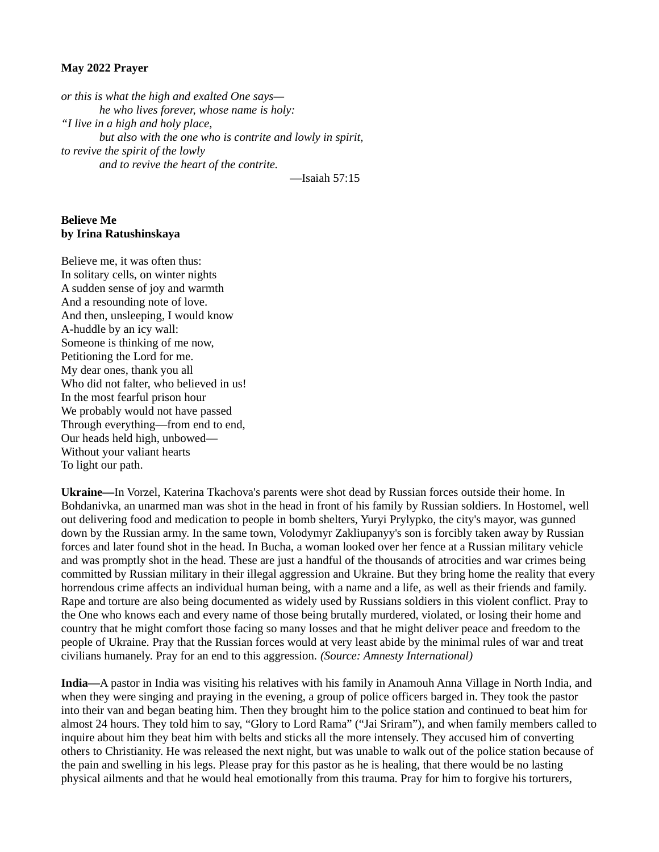## **May 2022 Prayer**

*or this is what the high and exalted One says he who lives forever, whose name is holy: "I live in a high and holy place, but also with the one who is contrite and lowly in spirit, to revive the spirit of the lowly and to revive the heart of the contrite.*

—Isaiah 57:15

## **Believe Me by Irina Ratushinskaya**

Believe me, it was often thus: In solitary cells, on winter nights A sudden sense of joy and warmth And a resounding note of love. And then, unsleeping, I would know A-huddle by an icy wall: Someone is thinking of me now, Petitioning the Lord for me. My dear ones, thank you all Who did not falter, who believed in us! In the most fearful prison hour We probably would not have passed Through everything—from end to end, Our heads held high, unbowed— Without your valiant hearts To light our path.

**Ukraine—**In Vorzel, Katerina Tkachova's parents were shot dead by Russian forces outside their home. In Bohdanivka, an unarmed man was shot in the head in front of his family by Russian soldiers. In Hostomel, well out delivering food and medication to people in bomb shelters, Yuryi Prylypko, the city's mayor, was gunned down by the Russian army. In the same town, Volodymyr Zakliupanyy's son is forcibly taken away by Russian forces and later found shot in the head. In Bucha, a woman looked over her fence at a Russian military vehicle and was promptly shot in the head. These are just a handful of the thousands of atrocities and war crimes being committed by Russian military in their illegal aggression and Ukraine. But they bring home the reality that every horrendous crime affects an individual human being, with a name and a life, as well as their friends and family. Rape and torture are also being documented as widely used by Russians soldiers in this violent conflict. Pray to the One who knows each and every name of those being brutally murdered, violated, or losing their home and country that he might comfort those facing so many losses and that he might deliver peace and freedom to the people of Ukraine. Pray that the Russian forces would at very least abide by the minimal rules of war and treat civilians humanely. Pray for an end to this aggression. *(Source: Amnesty International)*

**India—**A pastor in India was visiting his relatives with his family in Anamouh Anna Village in North India, and when they were singing and praying in the evening, a group of police officers barged in. They took the pastor into their van and began beating him. Then they brought him to the police station and continued to beat him for almost 24 hours. They told him to say, "Glory to Lord Rama" ("Jai Sriram"), and when family members called to inquire about him they beat him with belts and sticks all the more intensely. They accused him of converting others to Christianity. He was released the next night, but was unable to walk out of the police station because of the pain and swelling in his legs. Please pray for this pastor as he is healing, that there would be no lasting physical ailments and that he would heal emotionally from this trauma. Pray for him to forgive his torturers,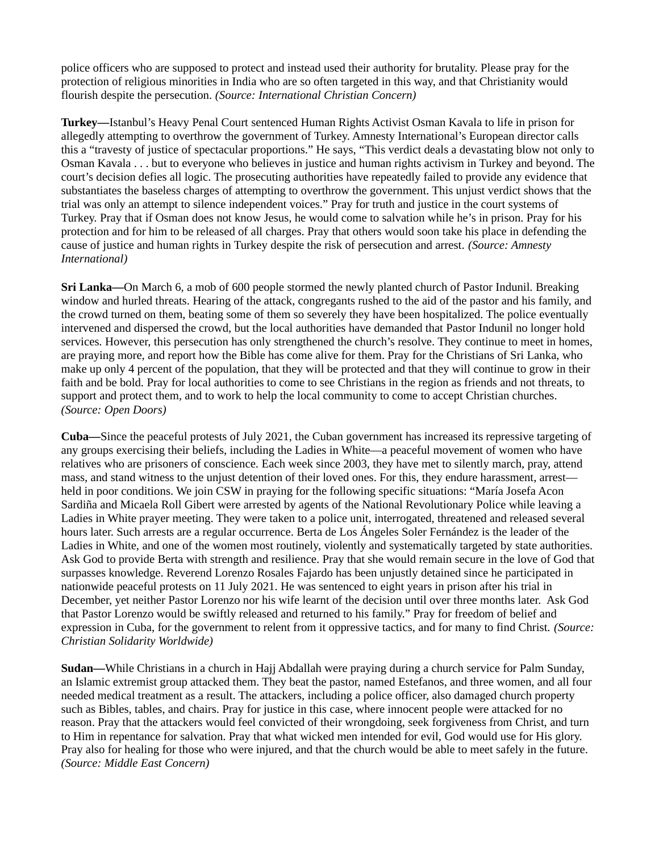police officers who are supposed to protect and instead used their authority for brutality. Please pray for the protection of religious minorities in India who are so often targeted in this way, and that Christianity would flourish despite the persecution. *(Source: International Christian Concern)*

**Turkey—**Istanbul's Heavy Penal Court sentenced Human Rights Activist Osman Kavala to life in prison for allegedly attempting to overthrow the government of Turkey. Amnesty International's European director calls this a "travesty of justice of spectacular proportions." He says, "This verdict deals a devastating blow not only to Osman Kavala . . . but to everyone who believes in justice and human rights activism in Turkey and beyond. The court's decision defies all logic. The prosecuting authorities have repeatedly failed to provide any evidence that substantiates the baseless charges of attempting to overthrow the government. This unjust verdict shows that the trial was only an attempt to silence independent voices." Pray for truth and justice in the court systems of Turkey. Pray that if Osman does not know Jesus, he would come to salvation while he's in prison. Pray for his protection and for him to be released of all charges. Pray that others would soon take his place in defending the cause of justice and human rights in Turkey despite the risk of persecution and arrest. *(Source: Amnesty International)*

**Sri Lanka—**On March 6, a mob of 600 people stormed the newly planted church of Pastor Indunil. Breaking window and hurled threats. Hearing of the attack, congregants rushed to the aid of the pastor and his family, and the crowd turned on them, beating some of them so severely they have been hospitalized. The police eventually intervened and dispersed the crowd, but the local authorities have demanded that Pastor Indunil no longer hold services. However, this persecution has only strengthened the church's resolve. They continue to meet in homes, are praying more, and report how the Bible has come alive for them. Pray for the Christians of Sri Lanka, who make up only 4 percent of the population, that they will be protected and that they will continue to grow in their faith and be bold. Pray for local authorities to come to see Christians in the region as friends and not threats, to support and protect them, and to work to help the local community to come to accept Christian churches. *(Source: Open Doors)*

**Cuba—**Since the peaceful protests of July 2021, the Cuban government has increased its repressive targeting of any groups exercising their beliefs, including the Ladies in White—a peaceful movement of women who have relatives who are prisoners of conscience. Each week since 2003, they have met to silently march, pray, attend mass, and stand witness to the unjust detention of their loved ones. For this, they endure harassment, arrest held in poor conditions. We join CSW in praying for the following specific situations: "María Josefa Acon Sardiña and Micaela Roll Gibert were arrested by agents of the National Revolutionary Police while leaving a Ladies in White prayer meeting. They were taken to a police unit, interrogated, threatened and released several hours later. Such arrests are a regular occurrence. Berta de Los Ángeles Soler Fernández is the leader of the Ladies in White, and one of the women most routinely, violently and systematically targeted by state authorities. Ask God to provide Berta with strength and resilience. Pray that she would remain secure in the love of God that surpasses knowledge. Reverend Lorenzo Rosales Fajardo has been unjustly detained since he participated in nationwide peaceful protests on 11 July 2021. He was sentenced to eight years in prison after his trial in December, yet neither Pastor Lorenzo nor his wife learnt of the decision until over three months later. Ask God that Pastor Lorenzo would be swiftly released and returned to his family." Pray for freedom of belief and expression in Cuba, for the government to relent from it oppressive tactics, and for many to find Christ. *(Source: Christian Solidarity Worldwide)*

**Sudan—**While Christians in a church in Hajj Abdallah were praying during a church service for Palm Sunday, an Islamic extremist group attacked them. They beat the pastor, named Estefanos, and three women, and all four needed medical treatment as a result. The attackers, including a police officer, also damaged church property such as Bibles, tables, and chairs. Pray for justice in this case, where innocent people were attacked for no reason. Pray that the attackers would feel convicted of their wrongdoing, seek forgiveness from Christ, and turn to Him in repentance for salvation. Pray that what wicked men intended for evil, God would use for His glory. Pray also for healing for those who were injured, and that the church would be able to meet safely in the future. *(Source: Middle East Concern)*